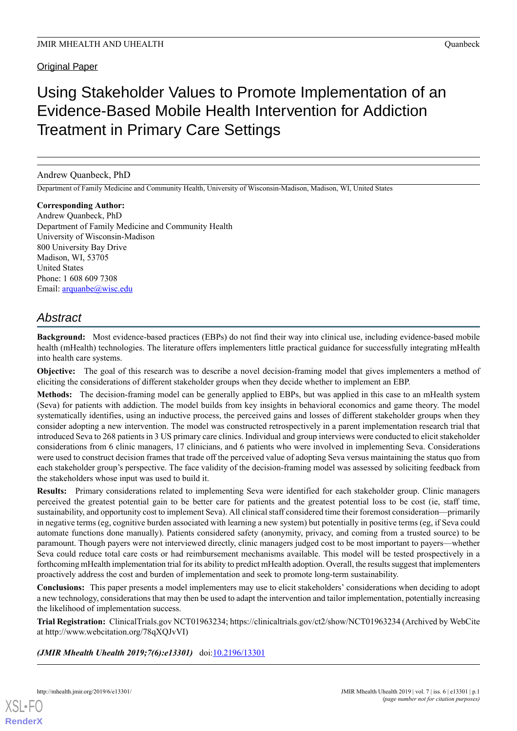Original Paper

# Using Stakeholder Values to Promote Implementation of an Evidence-Based Mobile Health Intervention for Addiction Treatment in Primary Care Settings

Andrew Quanbeck, PhD

Department of Family Medicine and Community Health, University of Wisconsin-Madison, Madison, WI, United States

**Corresponding Author:** Andrew Quanbeck, PhD Department of Family Medicine and Community Health University of Wisconsin-Madison 800 University Bay Drive Madison, WI, 53705 United States Phone: 1 608 609 7308 Email: [arquanbe@wisc.edu](mailto:arquanbe@wisc.edu)

## *Abstract*

**Background:** Most evidence-based practices (EBPs) do not find their way into clinical use, including evidence-based mobile health (mHealth) technologies. The literature offers implementers little practical guidance for successfully integrating mHealth into health care systems.

**Objective:** The goal of this research was to describe a novel decision-framing model that gives implementers a method of eliciting the considerations of different stakeholder groups when they decide whether to implement an EBP.

**Methods:** The decision-framing model can be generally applied to EBPs, but was applied in this case to an mHealth system (Seva) for patients with addiction. The model builds from key insights in behavioral economics and game theory. The model systematically identifies, using an inductive process, the perceived gains and losses of different stakeholder groups when they consider adopting a new intervention. The model was constructed retrospectively in a parent implementation research trial that introduced Seva to 268 patients in 3 US primary care clinics. Individual and group interviews were conducted to elicit stakeholder considerations from 6 clinic managers, 17 clinicians, and 6 patients who were involved in implementing Seva. Considerations were used to construct decision frames that trade off the perceived value of adopting Seva versus maintaining the status quo from each stakeholder group's perspective. The face validity of the decision-framing model was assessed by soliciting feedback from the stakeholders whose input was used to build it.

**Results:** Primary considerations related to implementing Seva were identified for each stakeholder group. Clinic managers perceived the greatest potential gain to be better care for patients and the greatest potential loss to be cost (ie, staff time, sustainability, and opportunity cost to implement Seva). All clinical staff considered time their foremost consideration—primarily in negative terms (eg, cognitive burden associated with learning a new system) but potentially in positive terms (eg, if Seva could automate functions done manually). Patients considered safety (anonymity, privacy, and coming from a trusted source) to be paramount. Though payers were not interviewed directly, clinic managers judged cost to be most important to payers—whether Seva could reduce total care costs or had reimbursement mechanisms available. This model will be tested prospectively in a forthcoming mHealth implementation trial for its ability to predict mHealth adoption. Overall, the results suggest that implementers proactively address the cost and burden of implementation and seek to promote long-term sustainability.

**Conclusions:** This paper presents a model implementers may use to elicit stakeholders' considerations when deciding to adopt a new technology, considerations that may then be used to adapt the intervention and tailor implementation, potentially increasing the likelihood of implementation success.

**Trial Registration:** ClinicalTrials.gov NCT01963234; https://clinicaltrials.gov/ct2/show/NCT01963234 (Archived by WebCite at http://www.webcitation.org/78qXQJvVI)

*(JMIR Mhealth Uhealth 2019;7(6):e13301)* doi: $10.2196/13301$ 

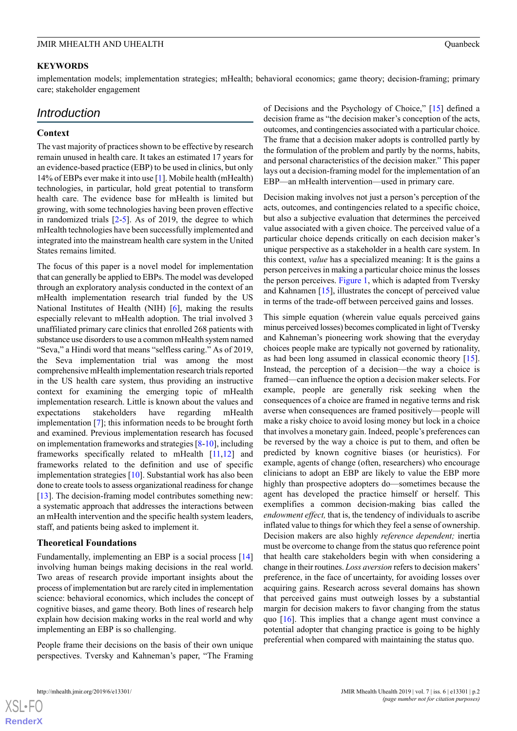#### **KEYWORDS**

implementation models; implementation strategies; mHealth; behavioral economics; game theory; decision-framing; primary care; stakeholder engagement

## *Introduction*

#### **Context**

The vast majority of practices shown to be effective by research remain unused in health care. It takes an estimated 17 years for an evidence-based practice (EBP) to be used in clinics, but only 14% of EBPs ever make it into use [\[1\]](#page-10-0). Mobile health (mHealth) technologies, in particular, hold great potential to transform health care. The evidence base for mHealth is limited but growing, with some technologies having been proven effective in randomized trials [\[2](#page-10-1)-[5\]](#page-10-2). As of 2019, the degree to which mHealth technologies have been successfully implemented and integrated into the mainstream health care system in the United States remains limited.

The focus of this paper is a novel model for implementation that can generally be applied to EBPs. The model was developed through an exploratory analysis conducted in the context of an mHealth implementation research trial funded by the US National Institutes of Health (NIH) [[6\]](#page-10-3), making the results especially relevant to mHealth adoption. The trial involved 3 unaffiliated primary care clinics that enrolled 268 patients with substance use disorders to use a common mHealth system named "Seva," a Hindi word that means "selfless caring." As of 2019, the Seva implementation trial was among the most comprehensive mHealth implementation research trials reported in the US health care system, thus providing an instructive context for examining the emerging topic of mHealth implementation research. Little is known about the values and expectations stakeholders have regarding mHealth implementation [\[7](#page-10-4)]; this information needs to be brought forth and examined. Previous implementation research has focused on implementation frameworks and strategies [[8](#page-10-5)[-10](#page-10-6)], including frameworks specifically related to mHealth [[11](#page-10-7),[12\]](#page-10-8) and frameworks related to the definition and use of specific implementation strategies [[10\]](#page-10-6). Substantial work has also been done to create tools to assess organizational readiness for change [[13\]](#page-10-9). The decision-framing model contributes something new: a systematic approach that addresses the interactions between an mHealth intervention and the specific health system leaders, staff, and patients being asked to implement it.

#### **Theoretical Foundations**

Fundamentally, implementing an EBP is a social process [\[14](#page-10-10)] involving human beings making decisions in the real world. Two areas of research provide important insights about the process of implementation but are rarely cited in implementation science: behavioral economics, which includes the concept of cognitive biases, and game theory. Both lines of research help explain how decision making works in the real world and why implementing an EBP is so challenging.

People frame their decisions on the basis of their own unique perspectives. Tversky and Kahneman's paper, "The Framing of Decisions and the Psychology of Choice," [[15\]](#page-10-11) defined a decision frame as "the decision maker's conception of the acts, outcomes, and contingencies associated with a particular choice. The frame that a decision maker adopts is controlled partly by the formulation of the problem and partly by the norms, habits, and personal characteristics of the decision maker." This paper lays out a decision-framing model for the implementation of an EBP—an mHealth intervention—used in primary care.

Decision making involves not just a person's perception of the acts, outcomes, and contingencies related to a specific choice, but also a subjective evaluation that determines the perceived value associated with a given choice. The perceived value of a particular choice depends critically on each decision maker's unique perspective as a stakeholder in a health care system. In this context, *value* has a specialized meaning: It is the gains a person perceives in making a particular choice minus the losses the person perceives. [Figure 1,](#page-2-0) which is adapted from Tversky and Kahnamen [\[15](#page-10-11)], illustrates the concept of perceived value in terms of the trade-off between perceived gains and losses.

This simple equation (wherein value equals perceived gains minus perceived losses) becomes complicated in light of Tversky and Kahneman's pioneering work showing that the everyday choices people make are typically not governed by rationality, as had been long assumed in classical economic theory [[15\]](#page-10-11). Instead, the perception of a decision—the way a choice is framed—can influence the option a decision maker selects. For example, people are generally risk seeking when the consequences of a choice are framed in negative terms and risk averse when consequences are framed positively—people will make a risky choice to avoid losing money but lock in a choice that involves a monetary gain. Indeed, people's preferences can be reversed by the way a choice is put to them, and often be predicted by known cognitive biases (or heuristics). For example, agents of change (often, researchers) who encourage clinicians to adopt an EBP are likely to value the EBP more highly than prospective adopters do—sometimes because the agent has developed the practice himself or herself. This exemplifies a common decision-making bias called the *endowment effect,* that is, the tendency of individuals to ascribe inflated value to things for which they feel a sense of ownership. Decision makers are also highly *reference dependent;* inertia must be overcome to change from the status quo reference point that health care stakeholders begin with when considering a change in their routines. *Loss aversion* refers to decision makers' preference, in the face of uncertainty, for avoiding losses over acquiring gains. Research across several domains has shown that perceived gains must outweigh losses by a substantial margin for decision makers to favor changing from the status quo [[16\]](#page-10-12). This implies that a change agent must convince a potential adopter that changing practice is going to be highly preferential when compared with maintaining the status quo.



**[RenderX](http://www.renderx.com/)**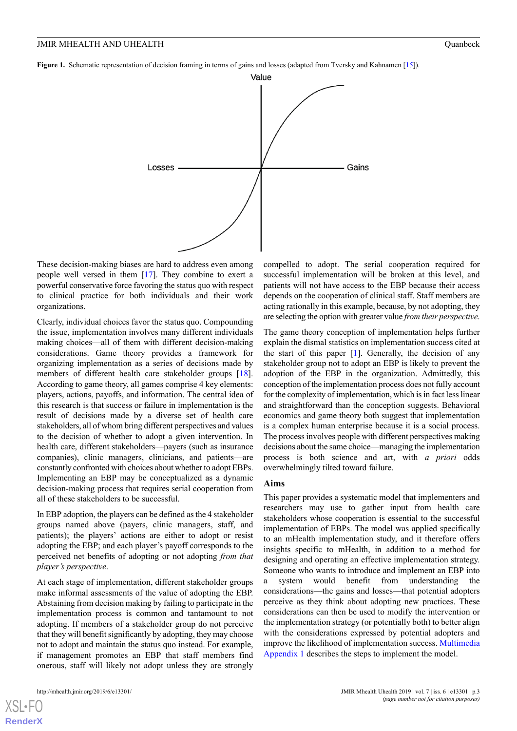<span id="page-2-0"></span>**Figure 1.** Schematic representation of decision framing in terms of gains and losses (adapted from Tversky and Kahnamen [15]).



These decision-making biases are hard to address even among people well versed in them [\[17](#page-10-13)]. They combine to exert a powerful conservative force favoring the status quo with respect to clinical practice for both individuals and their work organizations.

Clearly, individual choices favor the status quo. Compounding the issue, implementation involves many different individuals making choices—all of them with different decision-making considerations. Game theory provides a framework for organizing implementation as a series of decisions made by members of different health care stakeholder groups [[18\]](#page-10-14). According to game theory, all games comprise 4 key elements: players, actions, payoffs, and information. The central idea of this research is that success or failure in implementation is the result of decisions made by a diverse set of health care stakeholders, all of whom bring different perspectives and values to the decision of whether to adopt a given intervention. In health care, different stakeholders—payers (such as insurance companies), clinic managers, clinicians, and patients—are constantly confronted with choices about whether to adopt EBPs. Implementing an EBP may be conceptualized as a dynamic decision-making process that requires serial cooperation from all of these stakeholders to be successful.

In EBP adoption, the players can be defined as the 4 stakeholder groups named above (payers, clinic managers, staff, and patients); the players' actions are either to adopt or resist adopting the EBP; and each player's payoff corresponds to the perceived net benefits of adopting or not adopting *from that player's perspective*.

At each stage of implementation, different stakeholder groups make informal assessments of the value of adopting the EBP. Abstaining from decision making by failing to participate in the implementation process is common and tantamount to not adopting. If members of a stakeholder group do not perceive that they will benefit significantly by adopting, they may choose not to adopt and maintain the status quo instead. For example, if management promotes an EBP that staff members find onerous, staff will likely not adopt unless they are strongly

[XSL](http://www.w3.org/Style/XSL)•FO **[RenderX](http://www.renderx.com/)**

compelled to adopt. The serial cooperation required for successful implementation will be broken at this level, and patients will not have access to the EBP because their access depends on the cooperation of clinical staff. Staff members are acting rationally in this example, because, by not adopting, they are selecting the option with greater value *from their perspective*.

The game theory conception of implementation helps further explain the dismal statistics on implementation success cited at the start of this paper [[1\]](#page-10-0). Generally, the decision of any stakeholder group not to adopt an EBP is likely to prevent the adoption of the EBP in the organization. Admittedly, this conception of the implementation process does not fully account for the complexity of implementation, which is in fact less linear and straightforward than the conception suggests. Behavioral economics and game theory both suggest that implementation is a complex human enterprise because it is a social process. The process involves people with different perspectives making decisions about the same choice—managing the implementation process is both science and art, with *a priori* odds overwhelmingly tilted toward failure.

#### **Aims**

This paper provides a systematic model that implementers and researchers may use to gather input from health care stakeholders whose cooperation is essential to the successful implementation of EBPs. The model was applied specifically to an mHealth implementation study, and it therefore offers insights specific to mHealth, in addition to a method for designing and operating an effective implementation strategy. Someone who wants to introduce and implement an EBP into a system would benefit from understanding the considerations—the gains and losses—that potential adopters perceive as they think about adopting new practices. These considerations can then be used to modify the intervention or the implementation strategy (or potentially both) to better align with the considerations expressed by potential adopters and improve the likelihood of implementation success. [Multimedia](#page-9-0) [Appendix 1](#page-9-0) describes the steps to implement the model.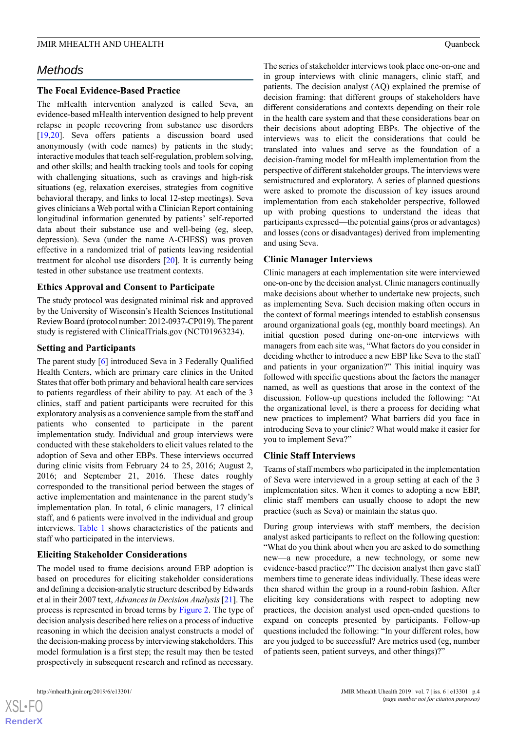## *Methods*

#### **The Focal Evidence-Based Practice**

The mHealth intervention analyzed is called Seva, an evidence-based mHealth intervention designed to help prevent relapse in people recovering from substance use disorders [[19](#page-10-15)[,20](#page-10-16)]. Seva offers patients a discussion board used anonymously (with code names) by patients in the study; interactive modules that teach self-regulation, problem solving, and other skills; and health tracking tools and tools for coping with challenging situations, such as cravings and high-risk situations (eg, relaxation exercises, strategies from cognitive behavioral therapy, and links to local 12-step meetings). Seva gives clinicians a Web portal with a Clinician Report containing longitudinal information generated by patients' self-reported data about their substance use and well-being (eg, sleep, depression). Seva (under the name A-CHESS) was proven effective in a randomized trial of patients leaving residential treatment for alcohol use disorders [\[20](#page-10-16)]. It is currently being tested in other substance use treatment contexts.

#### **Ethics Approval and Consent to Participate**

The study protocol was designated minimal risk and approved by the University of Wisconsin's Health Sciences Institutional Review Board (protocol number: 2012-0937-CP019). The parent study is registered with ClinicalTrials.gov (NCT01963234).

#### **Setting and Participants**

The parent study [\[6](#page-10-3)] introduced Seva in 3 Federally Qualified Health Centers, which are primary care clinics in the United States that offer both primary and behavioral health care services to patients regardless of their ability to pay. At each of the 3 clinics, staff and patient participants were recruited for this exploratory analysis as a convenience sample from the staff and patients who consented to participate in the parent implementation study. Individual and group interviews were conducted with these stakeholders to elicit values related to the adoption of Seva and other EBPs. These interviews occurred during clinic visits from February 24 to 25, 2016; August 2, 2016; and September 21, 2016. These dates roughly corresponded to the transitional period between the stages of active implementation and maintenance in the parent study's implementation plan. In total, 6 clinic managers, 17 clinical staff, and 6 patients were involved in the individual and group interviews. [Table 1](#page-4-0) shows characteristics of the patients and staff who participated in the interviews.

#### **Eliciting Stakeholder Considerations**

The model used to frame decisions around EBP adoption is based on procedures for eliciting stakeholder considerations and defining a decision-analytic structure described by Edwards et al in their 2007 text, *Advances in Decision Analysis*[\[21](#page-10-17)]. The process is represented in broad terms by [Figure 2](#page-4-1). The type of decision analysis described here relies on a process of inductive reasoning in which the decision analyst constructs a model of the decision-making process by interviewing stakeholders. This model formulation is a first step; the result may then be tested prospectively in subsequent research and refined as necessary.

 $XS$  • FC **[RenderX](http://www.renderx.com/)** The series of stakeholder interviews took place one-on-one and in group interviews with clinic managers, clinic staff, and patients. The decision analyst (AQ) explained the premise of decision framing: that different groups of stakeholders have different considerations and contexts depending on their role in the health care system and that these considerations bear on their decisions about adopting EBPs. The objective of the interviews was to elicit the considerations that could be translated into values and serve as the foundation of a decision-framing model for mHealth implementation from the perspective of different stakeholder groups. The interviews were semistructured and exploratory. A series of planned questions were asked to promote the discussion of key issues around implementation from each stakeholder perspective, followed up with probing questions to understand the ideas that participants expressed—the potential gains (pros or advantages) and losses (cons or disadvantages) derived from implementing and using Seva.

#### **Clinic Manager Interviews**

Clinic managers at each implementation site were interviewed one-on-one by the decision analyst. Clinic managers continually make decisions about whether to undertake new projects, such as implementing Seva. Such decision making often occurs in the context of formal meetings intended to establish consensus around organizational goals (eg, monthly board meetings). An initial question posed during one-on-one interviews with managers from each site was, "What factors do you consider in deciding whether to introduce a new EBP like Seva to the staff and patients in your organization?" This initial inquiry was followed with specific questions about the factors the manager named, as well as questions that arose in the context of the discussion. Follow-up questions included the following: "At the organizational level, is there a process for deciding what new practices to implement? What barriers did you face in introducing Seva to your clinic? What would make it easier for you to implement Seva?"

### **Clinic Staff Interviews**

Teams of staff members who participated in the implementation of Seva were interviewed in a group setting at each of the 3 implementation sites. When it comes to adopting a new EBP, clinic staff members can usually choose to adopt the new practice (such as Seva) or maintain the status quo.

During group interviews with staff members, the decision analyst asked participants to reflect on the following question: "What do you think about when you are asked to do something new—a new procedure, a new technology, or some new evidence-based practice?" The decision analyst then gave staff members time to generate ideas individually. These ideas were then shared within the group in a round-robin fashion. After eliciting key considerations with respect to adopting new practices, the decision analyst used open-ended questions to expand on concepts presented by participants. Follow-up questions included the following: "In your different roles, how are you judged to be successful? Are metrics used (eg, number of patients seen, patient surveys, and other things)?"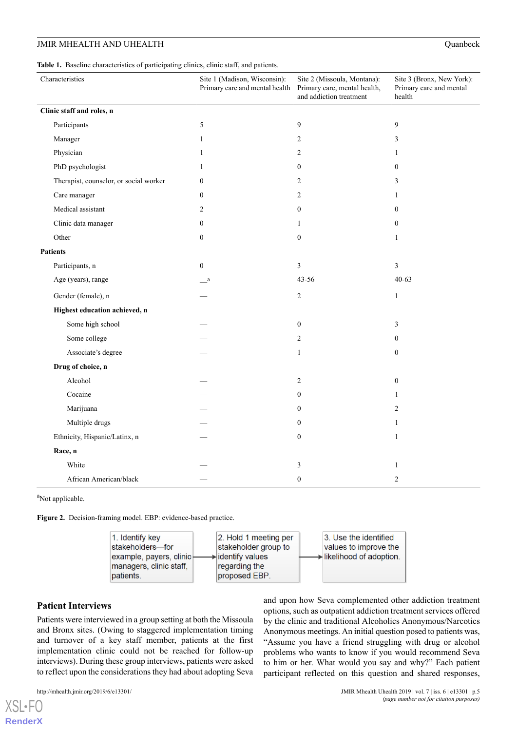<span id="page-4-0"></span>**Table 1.** Baseline characteristics of participating clinics, clinic staff, and patients.

| Characteristics                        | Site 1 (Madison, Wisconsin):<br>Primary care and mental health | Site 2 (Missoula, Montana):<br>Primary care, mental health,<br>and addiction treatment | Site 3 (Bronx, New York):<br>Primary care and mental<br>health |
|----------------------------------------|----------------------------------------------------------------|----------------------------------------------------------------------------------------|----------------------------------------------------------------|
| Clinic staff and roles, n              |                                                                |                                                                                        |                                                                |
| Participants                           | 5                                                              | 9                                                                                      | $\overline{9}$                                                 |
| Manager                                | $\mathbf{1}$                                                   | $\overline{c}$                                                                         | 3                                                              |
| Physician                              | 1                                                              | 2                                                                                      | 1                                                              |
| PhD psychologist                       | $\mathbf{1}$                                                   | $\boldsymbol{0}$                                                                       | $\mathbf{0}$                                                   |
| Therapist, counselor, or social worker | $\boldsymbol{0}$                                               | $\overline{c}$                                                                         | 3                                                              |
| Care manager                           | $\theta$                                                       | $\overline{c}$                                                                         | 1                                                              |
| Medical assistant                      | 2                                                              | $\boldsymbol{0}$                                                                       | $\boldsymbol{0}$                                               |
| Clinic data manager                    | $\boldsymbol{0}$                                               | 1                                                                                      | $\boldsymbol{0}$                                               |
| Other                                  | $\mathbf{0}$                                                   | $\boldsymbol{0}$                                                                       | $\mathbf{1}$                                                   |
| <b>Patients</b>                        |                                                                |                                                                                        |                                                                |
| Participants, n                        | $\theta$                                                       | 3                                                                                      | 3                                                              |
| Age (years), range                     | a                                                              | 43-56                                                                                  | $40 - 63$                                                      |
| Gender (female), n                     |                                                                | $\overline{c}$                                                                         | $\mathbf{1}$                                                   |
| Highest education achieved, n          |                                                                |                                                                                        |                                                                |
| Some high school                       |                                                                | $\boldsymbol{0}$                                                                       | 3                                                              |
| Some college                           |                                                                | $\overline{c}$                                                                         | $\boldsymbol{0}$                                               |
| Associate's degree                     |                                                                | $\mathbf{1}$                                                                           | $\boldsymbol{0}$                                               |
| Drug of choice, n                      |                                                                |                                                                                        |                                                                |
| Alcohol                                |                                                                | 2                                                                                      | $\boldsymbol{0}$                                               |
| Cocaine                                |                                                                | $\boldsymbol{0}$                                                                       | 1                                                              |
| Marijuana                              |                                                                | $\boldsymbol{0}$                                                                       | $\overline{c}$                                                 |
| Multiple drugs                         |                                                                | $\boldsymbol{0}$                                                                       | 1                                                              |
| Ethnicity, Hispanic/Latinx, n          |                                                                | $\boldsymbol{0}$                                                                       | $\mathbf{1}$                                                   |
| Race, n                                |                                                                |                                                                                        |                                                                |
| White                                  |                                                                | 3                                                                                      | 1                                                              |
| African American/black                 |                                                                | $\boldsymbol{0}$                                                                       | $\overline{c}$                                                 |

<span id="page-4-1"></span><sup>a</sup>Not applicable.

**Figure 2.** Decision-framing model. EBP: evidence-based practice.



#### **Patient Interviews**

Patients were interviewed in a group setting at both the Missoula and Bronx sites. (Owing to staggered implementation timing and turnover of a key staff member, patients at the first implementation clinic could not be reached for follow-up interviews). During these group interviews, patients were asked to reflect upon the considerations they had about adopting Seva

 $XS$  • FO **[RenderX](http://www.renderx.com/)** and upon how Seva complemented other addiction treatment options, such as outpatient addiction treatment services offered by the clinic and traditional Alcoholics Anonymous/Narcotics Anonymous meetings. An initial question posed to patients was, "Assume you have a friend struggling with drug or alcohol problems who wants to know if you would recommend Seva to him or her. What would you say and why?" Each patient participant reflected on this question and shared responses,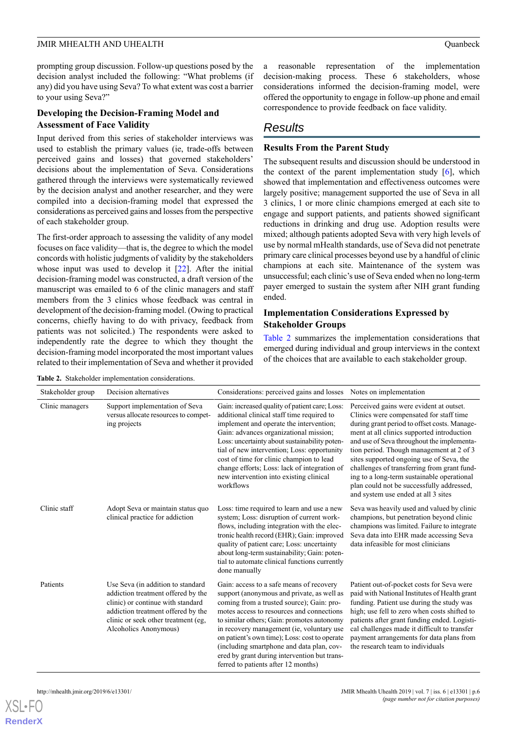prompting group discussion. Follow-up questions posed by the decision analyst included the following: "What problems (if any) did you have using Seva? To what extent was cost a barrier to your using Seva?"

#### **Developing the Decision-Framing Model and Assessment of Face Validity**

Input derived from this series of stakeholder interviews was used to establish the primary values (ie, trade-offs between perceived gains and losses) that governed stakeholders' decisions about the implementation of Seva. Considerations gathered through the interviews were systematically reviewed by the decision analyst and another researcher, and they were compiled into a decision-framing model that expressed the considerations as perceived gains and losses from the perspective of each stakeholder group.

The first-order approach to assessing the validity of any model focuses on face validity—that is, the degree to which the model concords with holistic judgments of validity by the stakeholders whose input was used to develop it [[22\]](#page-10-18). After the initial decision-framing model was constructed, a draft version of the manuscript was emailed to 6 of the clinic managers and staff members from the 3 clinics whose feedback was central in development of the decision-framing model. (Owing to practical concerns, chiefly having to do with privacy, feedback from patients was not solicited.) The respondents were asked to independently rate the degree to which they thought the decision-framing model incorporated the most important values related to their implementation of Seva and whether it provided

a reasonable representation of the implementation decision-making process. These 6 stakeholders, whose considerations informed the decision-framing model, were offered the opportunity to engage in follow-up phone and email correspondence to provide feedback on face validity.

## *Results*

### **Results From the Parent Study**

The subsequent results and discussion should be understood in the context of the parent implementation study [[6\]](#page-10-3), which showed that implementation and effectiveness outcomes were largely positive; management supported the use of Seva in all 3 clinics, 1 or more clinic champions emerged at each site to engage and support patients, and patients showed significant reductions in drinking and drug use. Adoption results were mixed; although patients adopted Seva with very high levels of use by normal mHealth standards, use of Seva did not penetrate primary care clinical processes beyond use by a handful of clinic champions at each site. Maintenance of the system was unsuccessful; each clinic's use of Seva ended when no long-term payer emerged to sustain the system after NIH grant funding ended.

#### **Implementation Considerations Expressed by Stakeholder Groups**

[Table 2](#page-5-0) summarizes the implementation considerations that emerged during individual and group interviews in the context of the choices that are available to each stakeholder group.

| Stakeholder group | Decision alternatives                                                                                                                                                                                              | Considerations: perceived gains and losses                                                                                                                                                                                                                                                                                                                                                                                                                       | Notes on implementation                                                                                                                                                                                                                                                                                                                                                                                                                                                                                 |
|-------------------|--------------------------------------------------------------------------------------------------------------------------------------------------------------------------------------------------------------------|------------------------------------------------------------------------------------------------------------------------------------------------------------------------------------------------------------------------------------------------------------------------------------------------------------------------------------------------------------------------------------------------------------------------------------------------------------------|---------------------------------------------------------------------------------------------------------------------------------------------------------------------------------------------------------------------------------------------------------------------------------------------------------------------------------------------------------------------------------------------------------------------------------------------------------------------------------------------------------|
| Clinic managers   | Support implementation of Seva<br>versus allocate resources to compet-<br>ing projects                                                                                                                             | Gain: increased quality of patient care; Loss:<br>additional clinical staff time required to<br>implement and operate the intervention;<br>Gain: advances organizational mission;<br>Loss: uncertainty about sustainability poten-<br>tial of new intervention; Loss: opportunity<br>cost of time for clinic champion to lead<br>change efforts; Loss: lack of integration of<br>new intervention into existing clinical<br>workflows                            | Perceived gains were evident at outset.<br>Clinics were compensated for staff time<br>during grant period to offset costs. Manage-<br>ment at all clinics supported introduction<br>and use of Seva throughout the implementa-<br>tion period. Though management at 2 of 3<br>sites supported ongoing use of Seva, the<br>challenges of transferring from grant fund-<br>ing to a long-term sustainable operational<br>plan could not be successfully addressed,<br>and system use ended at all 3 sites |
| Clinic staff      | Adopt Seva or maintain status quo<br>clinical practice for addiction                                                                                                                                               | Loss: time required to learn and use a new<br>system; Loss: disruption of current work-<br>flows, including integration with the elec-<br>tronic health record (EHR); Gain: improved<br>quality of patient care; Loss: uncertainty<br>about long-term sustainability; Gain: poten-<br>tial to automate clinical functions currently<br>done manually                                                                                                             | Seva was heavily used and valued by clinic<br>champions, but penetration beyond clinic<br>champions was limited. Failure to integrate<br>Seva data into EHR made accessing Seva<br>data infeasible for most clinicians                                                                                                                                                                                                                                                                                  |
| Patients          | Use Seva (in addition to standard<br>addiction treatment offered by the<br>clinic) or continue with standard<br>addiction treatment offered by the<br>clinic or seek other treatment (eg.<br>Alcoholics Anonymous) | Gain: access to a safe means of recovery<br>support (anonymous and private, as well as<br>coming from a trusted source); Gain: pro-<br>motes access to resources and connections<br>to similar others; Gain: promotes autonomy<br>in recovery management (ie, voluntary use<br>on patient's own time); Loss: cost to operate<br>(including smartphone and data plan, cov-<br>ered by grant during intervention but trans-<br>ferred to patients after 12 months) | Patient out-of-pocket costs for Seva were<br>paid with National Institutes of Health grant<br>funding. Patient use during the study was<br>high; use fell to zero when costs shifted to<br>patients after grant funding ended. Logisti-<br>cal challenges made it difficult to transfer<br>payment arrangements for data plans from<br>the research team to individuals                                                                                                                                 |

<span id="page-5-0"></span>**Table 2.** Stakeholder implementation considerations.

[XSL](http://www.w3.org/Style/XSL)•FO **[RenderX](http://www.renderx.com/)**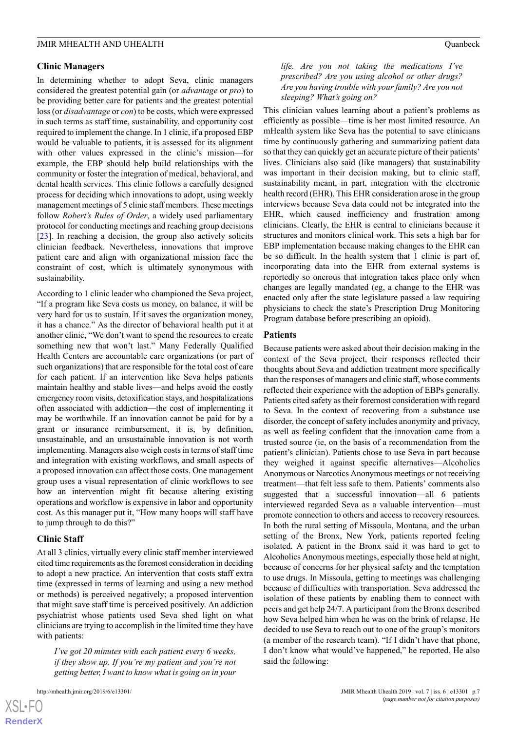#### **Clinic Managers**

In determining whether to adopt Seva, clinic managers considered the greatest potential gain (or *advantage* or *pro*) to be providing better care for patients and the greatest potential loss (or *disadvantage* or *con*) to be costs, which were expressed in such terms as staff time, sustainability, and opportunity cost required to implement the change. In 1 clinic, if a proposed EBP would be valuable to patients, it is assessed for its alignment with other values expressed in the clinic's mission—for example, the EBP should help build relationships with the community or foster the integration of medical, behavioral, and dental health services. This clinic follows a carefully designed process for deciding which innovations to adopt, using weekly management meetings of 5 clinic staff members. These meetings follow *Robert's Rules of Order*, a widely used parliamentary protocol for conducting meetings and reaching group decisions [[23\]](#page-10-19). In reaching a decision, the group also actively solicits clinician feedback. Nevertheless, innovations that improve patient care and align with organizational mission face the constraint of cost, which is ultimately synonymous with sustainability.

According to 1 clinic leader who championed the Seva project, "If a program like Seva costs us money, on balance, it will be very hard for us to sustain. If it saves the organization money, it has a chance." As the director of behavioral health put it at another clinic, "We don't want to spend the resources to create something new that won't last." Many Federally Qualified Health Centers are accountable care organizations (or part of such organizations) that are responsible for the total cost of care for each patient. If an intervention like Seva helps patients maintain healthy and stable lives—and helps avoid the costly emergency room visits, detoxification stays, and hospitalizations often associated with addiction—the cost of implementing it may be worthwhile. If an innovation cannot be paid for by a grant or insurance reimbursement, it is, by definition, unsustainable, and an unsustainable innovation is not worth implementing. Managers also weigh costs in terms of staff time and integration with existing workflows, and small aspects of a proposed innovation can affect those costs. One management group uses a visual representation of clinic workflows to see how an intervention might fit because altering existing operations and workflow is expensive in labor and opportunity cost. As this manager put it, "How many hoops will staff have to jump through to do this?"

#### **Clinic Staff**

At all 3 clinics, virtually every clinic staff member interviewed cited time requirements as the foremost consideration in deciding to adopt a new practice. An intervention that costs staff extra time (expressed in terms of learning and using a new method or methods) is perceived negatively; a proposed intervention that might save staff time is perceived positively. An addiction psychiatrist whose patients used Seva shed light on what clinicians are trying to accomplish in the limited time they have with patients:

*I've got 20 minutes with each patient every 6 weeks, if they show up. If you're my patient and you're not getting better, I want to know what is going on in your*

 $XS$  $\cdot$ FC **[RenderX](http://www.renderx.com/)** *life. Are you not taking the medications I've prescribed? Are you using alcohol or other drugs? Are you having trouble with your family? Are you not sleeping? What's going on?*

This clinician values learning about a patient's problems as efficiently as possible—time is her most limited resource. An mHealth system like Seva has the potential to save clinicians time by continuously gathering and summarizing patient data so that they can quickly get an accurate picture of their patients' lives. Clinicians also said (like managers) that sustainability was important in their decision making, but to clinic staff, sustainability meant, in part, integration with the electronic health record (EHR). This EHR consideration arose in the group interviews because Seva data could not be integrated into the EHR, which caused inefficiency and frustration among clinicians. Clearly, the EHR is central to clinicians because it structures and monitors clinical work. This sets a high bar for EBP implementation because making changes to the EHR can be so difficult. In the health system that 1 clinic is part of, incorporating data into the EHR from external systems is reportedly so onerous that integration takes place only when changes are legally mandated (eg, a change to the EHR was enacted only after the state legislature passed a law requiring physicians to check the state's Prescription Drug Monitoring Program database before prescribing an opioid).

#### **Patients**

Because patients were asked about their decision making in the context of the Seva project, their responses reflected their thoughts about Seva and addiction treatment more specifically than the responses of managers and clinic staff, whose comments reflected their experience with the adoption of EBPs generally. Patients cited safety as their foremost consideration with regard to Seva. In the context of recovering from a substance use disorder, the concept of safety includes anonymity and privacy, as well as feeling confident that the innovation came from a trusted source (ie, on the basis of a recommendation from the patient's clinician). Patients chose to use Seva in part because they weighed it against specific alternatives—Alcoholics Anonymous or Narcotics Anonymous meetings or not receiving treatment—that felt less safe to them. Patients' comments also suggested that a successful innovation—all 6 patients interviewed regarded Seva as a valuable intervention—must promote connection to others and access to recovery resources. In both the rural setting of Missoula, Montana, and the urban setting of the Bronx, New York, patients reported feeling isolated. A patient in the Bronx said it was hard to get to Alcoholics Anonymous meetings, especially those held at night, because of concerns for her physical safety and the temptation to use drugs. In Missoula, getting to meetings was challenging because of difficulties with transportation. Seva addressed the isolation of these patients by enabling them to connect with peers and get help 24/7. A participant from the Bronx described how Seva helped him when he was on the brink of relapse. He decided to use Seva to reach out to one of the group's monitors (a member of the research team). "If I didn't have that phone, I don't know what would've happened," he reported. He also said the following: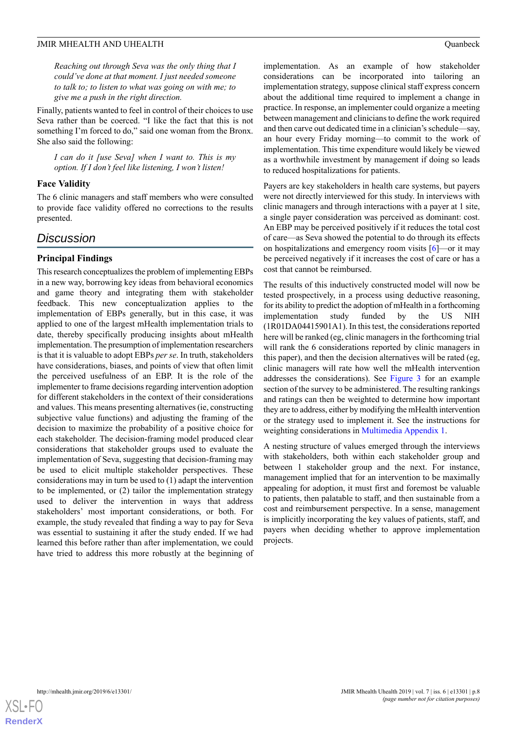*Reaching out through Seva was the only thing that I could've done at that moment. I just needed someone to talk to; to listen to what was going on with me; to give me a push in the right direction.*

Finally, patients wanted to feel in control of their choices to use Seva rather than be coerced. "I like the fact that this is not something I'm forced to do," said one woman from the Bronx. She also said the following:

*I can do it [use Seva] when I want to. This is my option. If I don't feel like listening, I won't listen!*

#### **Face Validity**

The 6 clinic managers and staff members who were consulted to provide face validity offered no corrections to the results presented.

## *Discussion*

## **Principal Findings**

This research conceptualizes the problem of implementing EBPs in a new way, borrowing key ideas from behavioral economics and game theory and integrating them with stakeholder feedback. This new conceptualization applies to the implementation of EBPs generally, but in this case, it was applied to one of the largest mHealth implementation trials to date, thereby specifically producing insights about mHealth implementation. The presumption of implementation researchers is that it is valuable to adopt EBPs *per se*. In truth, stakeholders have considerations, biases, and points of view that often limit the perceived usefulness of an EBP. It is the role of the implementer to frame decisions regarding intervention adoption for different stakeholders in the context of their considerations and values. This means presenting alternatives (ie, constructing subjective value functions) and adjusting the framing of the decision to maximize the probability of a positive choice for each stakeholder. The decision-framing model produced clear considerations that stakeholder groups used to evaluate the implementation of Seva, suggesting that decision-framing may be used to elicit multiple stakeholder perspectives. These considerations may in turn be used to (1) adapt the intervention to be implemented, or (2) tailor the implementation strategy used to deliver the intervention in ways that address stakeholders' most important considerations, or both. For example, the study revealed that finding a way to pay for Seva was essential to sustaining it after the study ended. If we had learned this before rather than after implementation, we could have tried to address this more robustly at the beginning of implementation. As an example of how stakeholder considerations can be incorporated into tailoring an implementation strategy, suppose clinical staff express concern about the additional time required to implement a change in practice. In response, an implementer could organize a meeting between management and clinicians to define the work required and then carve out dedicated time in a clinician's schedule—say, an hour every Friday morning—to commit to the work of implementation. This time expenditure would likely be viewed as a worthwhile investment by management if doing so leads to reduced hospitalizations for patients.

Payers are key stakeholders in health care systems, but payers were not directly interviewed for this study. In interviews with clinic managers and through interactions with a payer at 1 site, a single payer consideration was perceived as dominant: cost. An EBP may be perceived positively if it reduces the total cost of care—as Seva showed the potential to do through its effects on hospitalizations and emergency room visits  $[6]$  $[6]$  $[6]$ —or it may be perceived negatively if it increases the cost of care or has a cost that cannot be reimbursed.

The results of this inductively constructed model will now be tested prospectively, in a process using deductive reasoning, for its ability to predict the adoption of mHealth in a forthcoming implementation study funded by the US NIH (1R01DA04415901A1). In this test, the considerations reported here will be ranked (eg, clinic managers in the forthcoming trial will rank the 6 considerations reported by clinic managers in this paper), and then the decision alternatives will be rated (eg, clinic managers will rate how well the mHealth intervention addresses the considerations). See [Figure 3](#page-8-0) for an example section of the survey to be administered. The resulting rankings and ratings can then be weighted to determine how important they are to address, either by modifying the mHealth intervention or the strategy used to implement it. See the instructions for weighting considerations in [Multimedia Appendix 1.](#page-9-0)

A nesting structure of values emerged through the interviews with stakeholders, both within each stakeholder group and between 1 stakeholder group and the next. For instance, management implied that for an intervention to be maximally appealing for adoption, it must first and foremost be valuable to patients, then palatable to staff, and then sustainable from a cost and reimbursement perspective. In a sense, management is implicitly incorporating the key values of patients, staff, and payers when deciding whether to approve implementation projects.

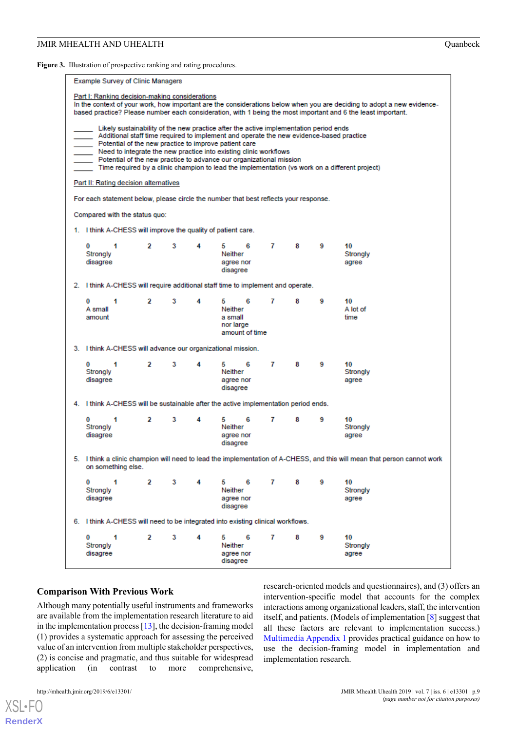<span id="page-8-0"></span>Figure 3. Illustration of prospective ranking and rating procedures.

|                                                                                                                                                                                                                                                                                                                                                                                                                                                                                                                                  | <b>Example Survey of Clinic Managers</b>                                                                                                       |              |   |   |                                                              |                |       |   |                         |
|----------------------------------------------------------------------------------------------------------------------------------------------------------------------------------------------------------------------------------------------------------------------------------------------------------------------------------------------------------------------------------------------------------------------------------------------------------------------------------------------------------------------------------|------------------------------------------------------------------------------------------------------------------------------------------------|--------------|---|---|--------------------------------------------------------------|----------------|-------|---|-------------------------|
| Part I: Ranking decision-making considerations<br>In the context of your work, how important are the considerations below when you are deciding to adopt a new evidence-<br>based practice? Please number each consideration, with 1 being the most important and 6 the least important.                                                                                                                                                                                                                                         |                                                                                                                                                |              |   |   |                                                              |                |       |   |                         |
| Likely sustainability of the new practice after the active implementation period ends<br>Additional staff time required to implement and operate the new evidence-based practice<br>Potential of the new practice to improve patient care<br>Need to integrate the new practice into existing clinic workflows<br>Potential of the new practice to advance our organizational mission<br>Time required by a clinic champion to lead the implementation (vs work on a different project)<br>Part II: Rating decision alternatives |                                                                                                                                                |              |   |   |                                                              |                |       |   |                         |
|                                                                                                                                                                                                                                                                                                                                                                                                                                                                                                                                  | For each statement below, please circle the number that best reflects your response.                                                           |              |   |   |                                                              |                |       |   |                         |
|                                                                                                                                                                                                                                                                                                                                                                                                                                                                                                                                  | Compared with the status quo:                                                                                                                  |              |   |   |                                                              |                |       |   |                         |
|                                                                                                                                                                                                                                                                                                                                                                                                                                                                                                                                  | 1. I think A-CHESS will improve the quality of patient care.                                                                                   |              |   |   |                                                              |                |       |   |                         |
|                                                                                                                                                                                                                                                                                                                                                                                                                                                                                                                                  | 0<br>1<br>Strongly<br>disagree                                                                                                                 | 2            | 3 | 4 | 6<br>5.<br>Neither<br>agree nor<br>disagree                  | 7              | 8     | 9 | 10<br>Strongly<br>agree |
| 2.                                                                                                                                                                                                                                                                                                                                                                                                                                                                                                                               | I think A-CHESS will require additional staff time to implement and operate.                                                                   |              |   |   |                                                              |                |       |   |                         |
|                                                                                                                                                                                                                                                                                                                                                                                                                                                                                                                                  | 1<br>0<br>A small<br>amount                                                                                                                    | 2            | 3 | 4 | 5.<br>6<br>Neither<br>a small<br>nor large<br>amount of time | 7              | 8     | 9 | 10<br>A lot of<br>time  |
|                                                                                                                                                                                                                                                                                                                                                                                                                                                                                                                                  | 3. I think A-CHESS will advance our organizational mission.                                                                                    |              |   |   |                                                              |                |       |   |                         |
|                                                                                                                                                                                                                                                                                                                                                                                                                                                                                                                                  | 0<br>1<br>Strongly<br>disagree                                                                                                                 | 2            | 3 | 4 | 5<br>6<br>Neither<br>agree nor<br>disagree                   | 7              | 8     | 9 | 10<br>Strongly<br>agree |
|                                                                                                                                                                                                                                                                                                                                                                                                                                                                                                                                  | 4. I think A-CHESS will be sustainable after the active implementation period ends.                                                            |              |   |   |                                                              |                |       |   |                         |
|                                                                                                                                                                                                                                                                                                                                                                                                                                                                                                                                  | 1<br>0<br>Strongly<br>disagree                                                                                                                 | 2            | 3 | 4 | 5.<br>6<br>Neither<br>agree nor<br>disagree                  | 7              | 8     | 9 | 10<br>Strongly<br>agree |
|                                                                                                                                                                                                                                                                                                                                                                                                                                                                                                                                  | 5. I think a clinic champion will need to lead the implementation of A-CHESS, and this will mean that person cannot work<br>on something else. |              |   |   |                                                              |                |       |   |                         |
|                                                                                                                                                                                                                                                                                                                                                                                                                                                                                                                                  | 0<br>-1<br>Strongly<br>disagree                                                                                                                | $\mathbf{2}$ | 3 | 4 | 5 6<br>Neither<br>agree nor<br>disagree                      | $7$ and $\sim$ | 8 - 1 | 9 | 10<br>Strongly<br>agree |
|                                                                                                                                                                                                                                                                                                                                                                                                                                                                                                                                  | 6. I think A-CHESS will need to be integrated into existing clinical workflows.                                                                |              |   |   |                                                              |                |       |   |                         |
|                                                                                                                                                                                                                                                                                                                                                                                                                                                                                                                                  | $\bf{0}$<br>1<br>Strongly<br>disagree                                                                                                          | 2            | 3 | 4 | 5.<br>- 6<br>Neither<br>agree nor<br>disagree                | 7              | 8     | 9 | 10<br>Strongly<br>agree |

#### **Comparison With Previous Work**

Although many potentially useful instruments and frameworks are available from the implementation research literature to aid in the implementation process [\[13](#page-10-9)], the decision-framing model (1) provides a systematic approach for assessing the perceived value of an intervention from multiple stakeholder perspectives, (2) is concise and pragmatic, and thus suitable for widespread application (in contrast to more comprehensive,

research-oriented models and questionnaires), and (3) offers an intervention-specific model that accounts for the complex interactions among organizational leaders, staff, the intervention itself, and patients. (Models of implementation [\[8](#page-10-5)] suggest that all these factors are relevant to implementation success.) [Multimedia Appendix 1](#page-9-0) provides practical guidance on how to use the decision-framing model in implementation and implementation research.

[XSL](http://www.w3.org/Style/XSL)•FO **[RenderX](http://www.renderx.com/)**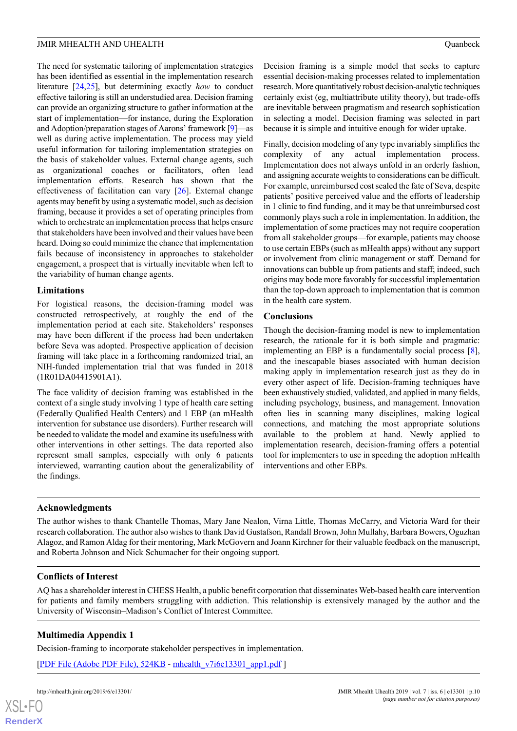The need for systematic tailoring of implementation strategies has been identified as essential in the implementation research literature [[24,](#page-11-0)[25\]](#page-11-1), but determining exactly *how* to conduct effective tailoring is still an understudied area. Decision framing can provide an organizing structure to gather information at the start of implementation—for instance, during the Exploration and Adoption/preparation stages of Aarons' framework [\[9](#page-10-20)]—as well as during active implementation. The process may yield useful information for tailoring implementation strategies on the basis of stakeholder values. External change agents, such as organizational coaches or facilitators, often lead implementation efforts. Research has shown that the effectiveness of facilitation can vary [\[26](#page-11-2)]. External change agents may benefit by using a systematic model, such as decision framing, because it provides a set of operating principles from which to orchestrate an implementation process that helps ensure that stakeholders have been involved and their values have been heard. Doing so could minimize the chance that implementation fails because of inconsistency in approaches to stakeholder engagement, a prospect that is virtually inevitable when left to the variability of human change agents.

#### **Limitations**

For logistical reasons, the decision-framing model was constructed retrospectively, at roughly the end of the implementation period at each site. Stakeholders' responses may have been different if the process had been undertaken before Seva was adopted. Prospective application of decision framing will take place in a forthcoming randomized trial, an NIH-funded implementation trial that was funded in 2018 (1R01DA04415901A1).

The face validity of decision framing was established in the context of a single study involving 1 type of health care setting (Federally Qualified Health Centers) and 1 EBP (an mHealth intervention for substance use disorders). Further research will be needed to validate the model and examine its usefulness with other interventions in other settings. The data reported also represent small samples, especially with only 6 patients interviewed, warranting caution about the generalizability of the findings.

Decision framing is a simple model that seeks to capture essential decision-making processes related to implementation research. More quantitatively robust decision-analytic techniques certainly exist (eg, multiattribute utility theory), but trade-offs are inevitable between pragmatism and research sophistication in selecting a model. Decision framing was selected in part because it is simple and intuitive enough for wider uptake.

Finally, decision modeling of any type invariably simplifies the complexity of any actual implementation process. Implementation does not always unfold in an orderly fashion, and assigning accurate weights to considerations can be difficult. For example, unreimbursed cost sealed the fate of Seva, despite patients' positive perceived value and the efforts of leadership in 1 clinic to find funding, and it may be that unreimbursed cost commonly plays such a role in implementation. In addition, the implementation of some practices may not require cooperation from all stakeholder groups—for example, patients may choose to use certain EBPs (such as mHealth apps) without any support or involvement from clinic management or staff. Demand for innovations can bubble up from patients and staff; indeed, such origins may bode more favorably for successful implementation than the top-down approach to implementation that is common in the health care system.

#### **Conclusions**

Though the decision-framing model is new to implementation research, the rationale for it is both simple and pragmatic: implementing an EBP is a fundamentally social process [[8\]](#page-10-5), and the inescapable biases associated with human decision making apply in implementation research just as they do in every other aspect of life. Decision-framing techniques have been exhaustively studied, validated, and applied in many fields, including psychology, business, and management. Innovation often lies in scanning many disciplines, making logical connections, and matching the most appropriate solutions available to the problem at hand. Newly applied to implementation research, decision-framing offers a potential tool for implementers to use in speeding the adoption mHealth interventions and other EBPs.

#### **Acknowledgments**

The author wishes to thank Chantelle Thomas, Mary Jane Nealon, Virna Little, Thomas McCarry, and Victoria Ward for their research collaboration. The author also wishes to thank David Gustafson, Randall Brown, John Mullahy, Barbara Bowers, Oguzhan Alagoz, and Ramon Aldag for their mentoring, Mark McGovern and Joann Kirchner for their valuable feedback on the manuscript, and Roberta Johnson and Nick Schumacher for their ongoing support.

#### <span id="page-9-0"></span>**Conflicts of Interest**

AQ has a shareholder interest in CHESS Health, a public benefit corporation that disseminates Web-based health care intervention for patients and family members struggling with addiction. This relationship is extensively managed by the author and the University of Wisconsin–Madison's Conflict of Interest Committee.

## **Multimedia Appendix 1**

Decision-framing to incorporate stakeholder perspectives in implementation.

[[PDF File \(Adobe PDF File\), 524KB](https://mhealth.jmir.org/article/downloadSuppFile/13301/107032) - [mhealth\\_v7i6e13301\\_app1.pdf](https://mhealth.jmir.org/article/downloadSuppFile/13301/107032) ]

 $XS$  $\cdot$ FC **[RenderX](http://www.renderx.com/)**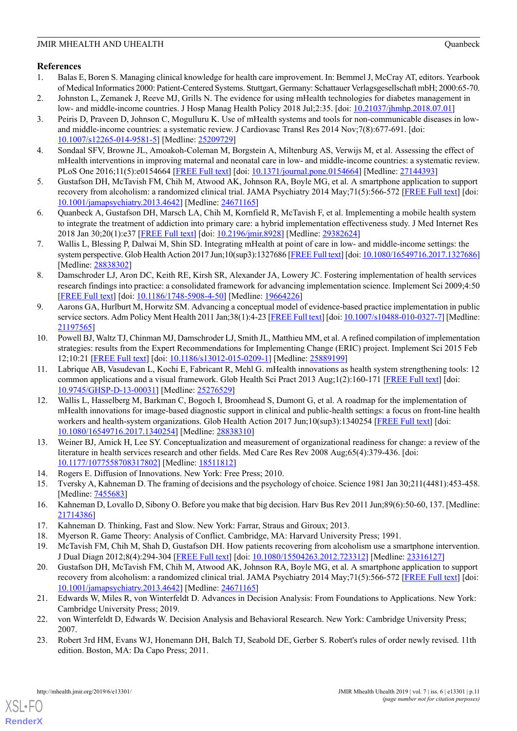### <span id="page-10-0"></span>**References**

- 1. Balas E, Boren S. Managing clinical knowledge for health care improvement. In: Bemmel J, McCray AT, editors. Yearbook of Medical Informatics 2000: Patient-Centered Systems. Stuttgart, Germany: Schattauer Verlagsgesellschaft mbH; 2000:65-70.
- <span id="page-10-1"></span>2. Johnston L, Zemanek J, Reeve MJ, Grills N. The evidence for using mHealth technologies for diabetes management in low- and middle-income countries. J Hosp Manag Health Policy 2018 Jul;2:35. [doi: [10.21037/jhmhp.2018.07.01\]](http://dx.doi.org/10.21037/jhmhp.2018.07.01)
- 3. Peiris D, Praveen D, Johnson C, Mogulluru K. Use of mHealth systems and tools for non-communicable diseases in lowand middle-income countries: a systematic review. J Cardiovasc Transl Res 2014 Nov;7(8):677-691. [doi: [10.1007/s12265-014-9581-5\]](http://dx.doi.org/10.1007/s12265-014-9581-5) [Medline: [25209729](http://www.ncbi.nlm.nih.gov/entrez/query.fcgi?cmd=Retrieve&db=PubMed&list_uids=25209729&dopt=Abstract)]
- <span id="page-10-2"></span>4. Sondaal SFV, Browne JL, Amoakoh-Coleman M, Borgstein A, Miltenburg AS, Verwijs M, et al. Assessing the effect of mHealth interventions in improving maternal and neonatal care in low- and middle-income countries: a systematic review. PLoS One 2016;11(5):e0154664 [\[FREE Full text\]](http://www.pubmedcentral.nih.gov/articlerender.fcgi?artid=4856298&tool=pmcentrez&rendertype=abstract) [doi: [10.1371/journal.pone.0154664](http://dx.doi.org/10.1371/journal.pone.0154664)] [Medline: [27144393\]](http://www.ncbi.nlm.nih.gov/entrez/query.fcgi?cmd=Retrieve&db=PubMed&list_uids=27144393&dopt=Abstract)
- <span id="page-10-3"></span>5. Gustafson DH, McTavish FM, Chih M, Atwood AK, Johnson RA, Boyle MG, et al. A smartphone application to support recovery from alcoholism: a randomized clinical trial. JAMA Psychiatry 2014 May;71(5):566-572 [\[FREE Full text\]](http://europepmc.org/abstract/MED/24671165) [doi: [10.1001/jamapsychiatry.2013.4642](http://dx.doi.org/10.1001/jamapsychiatry.2013.4642)] [Medline: [24671165](http://www.ncbi.nlm.nih.gov/entrez/query.fcgi?cmd=Retrieve&db=PubMed&list_uids=24671165&dopt=Abstract)]
- <span id="page-10-4"></span>6. Quanbeck A, Gustafson DH, Marsch LA, Chih M, Kornfield R, McTavish F, et al. Implementing a mobile health system to integrate the treatment of addiction into primary care: a hybrid implementation effectiveness study. J Med Internet Res 2018 Jan 30;20(1):e37 [\[FREE Full text\]](http://www.jmir.org/2018/1/e37/) [doi: [10.2196/jmir.8928\]](http://dx.doi.org/10.2196/jmir.8928) [Medline: [29382624\]](http://www.ncbi.nlm.nih.gov/entrez/query.fcgi?cmd=Retrieve&db=PubMed&list_uids=29382624&dopt=Abstract)
- <span id="page-10-5"></span>7. Wallis L, Blessing P, Dalwai M, Shin SD. Integrating mHealth at point of care in low- and middle-income settings: the system perspective. Glob Health Action 2017 Jun;10(sup3):1327686 [\[FREE Full text\]](http://europepmc.org/abstract/MED/28838302) [doi: [10.1080/16549716.2017.1327686\]](http://dx.doi.org/10.1080/16549716.2017.1327686) [Medline: [28838302](http://www.ncbi.nlm.nih.gov/entrez/query.fcgi?cmd=Retrieve&db=PubMed&list_uids=28838302&dopt=Abstract)]
- <span id="page-10-20"></span>8. Damschroder LJ, Aron DC, Keith RE, Kirsh SR, Alexander JA, Lowery JC. Fostering implementation of health services research findings into practice: a consolidated framework for advancing implementation science. Implement Sci 2009;4:50 [[FREE Full text](http://www.implementationscience.com/content/4//50)] [doi: [10.1186/1748-5908-4-50](http://dx.doi.org/10.1186/1748-5908-4-50)] [Medline: [19664226](http://www.ncbi.nlm.nih.gov/entrez/query.fcgi?cmd=Retrieve&db=PubMed&list_uids=19664226&dopt=Abstract)]
- <span id="page-10-6"></span>9. Aarons GA, Hurlburt M, Horwitz SM. Advancing a conceptual model of evidence-based practice implementation in public service sectors. Adm Policy Ment Health 2011 Jan;38(1):4-23 [\[FREE Full text](http://europepmc.org/abstract/MED/21197565)] [doi: [10.1007/s10488-010-0327-7\]](http://dx.doi.org/10.1007/s10488-010-0327-7) [Medline: [21197565](http://www.ncbi.nlm.nih.gov/entrez/query.fcgi?cmd=Retrieve&db=PubMed&list_uids=21197565&dopt=Abstract)]
- <span id="page-10-7"></span>10. Powell BJ, Waltz TJ, Chinman MJ, Damschroder LJ, Smith JL, Matthieu MM, et al. A refined compilation of implementation strategies: results from the Expert Recommendations for Implementing Change (ERIC) project. Implement Sci 2015 Feb 12;10:21 [[FREE Full text](https://implementationscience.biomedcentral.com/articles/10.1186/s13012-015-0209-1)] [doi: [10.1186/s13012-015-0209-1](http://dx.doi.org/10.1186/s13012-015-0209-1)] [Medline: [25889199](http://www.ncbi.nlm.nih.gov/entrez/query.fcgi?cmd=Retrieve&db=PubMed&list_uids=25889199&dopt=Abstract)]
- <span id="page-10-8"></span>11. Labrique AB, Vasudevan L, Kochi E, Fabricant R, Mehl G. mHealth innovations as health system strengthening tools: 12 common applications and a visual framework. Glob Health Sci Pract 2013 Aug;1(2):160-171 [[FREE Full text](http://www.ghspjournal.org/cgi/pmidlookup?view=long&pmid=25276529)] [doi: [10.9745/GHSP-D-13-00031\]](http://dx.doi.org/10.9745/GHSP-D-13-00031) [Medline: [25276529](http://www.ncbi.nlm.nih.gov/entrez/query.fcgi?cmd=Retrieve&db=PubMed&list_uids=25276529&dopt=Abstract)]
- <span id="page-10-9"></span>12. Wallis L, Hasselberg M, Barkman C, Bogoch I, Broomhead S, Dumont G, et al. A roadmap for the implementation of mHealth innovations for image-based diagnostic support in clinical and public-health settings: a focus on front-line health workers and health-system organizations. Glob Health Action 2017 Jun;10(sup3):1340254 [\[FREE Full text\]](http://europepmc.org/abstract/MED/28838310) [doi: [10.1080/16549716.2017.1340254\]](http://dx.doi.org/10.1080/16549716.2017.1340254) [Medline: [28838310\]](http://www.ncbi.nlm.nih.gov/entrez/query.fcgi?cmd=Retrieve&db=PubMed&list_uids=28838310&dopt=Abstract)
- <span id="page-10-12"></span><span id="page-10-11"></span><span id="page-10-10"></span>13. Weiner BJ, Amick H, Lee SY. Conceptualization and measurement of organizational readiness for change: a review of the literature in health services research and other fields. Med Care Res Rev 2008 Aug;65(4):379-436. [doi: [10.1177/1077558708317802](http://dx.doi.org/10.1177/1077558708317802)] [Medline: [18511812\]](http://www.ncbi.nlm.nih.gov/entrez/query.fcgi?cmd=Retrieve&db=PubMed&list_uids=18511812&dopt=Abstract)
- <span id="page-10-13"></span>14. Rogers E. Diffusion of Innovations. New York: Free Press; 2010.
- <span id="page-10-15"></span><span id="page-10-14"></span>15. Tversky A, Kahneman D. The framing of decisions and the psychology of choice. Science 1981 Jan 30;211(4481):453-458. [Medline: [7455683](http://www.ncbi.nlm.nih.gov/entrez/query.fcgi?cmd=Retrieve&db=PubMed&list_uids=7455683&dopt=Abstract)]
- <span id="page-10-16"></span>16. Kahneman D, Lovallo D, Sibony O. Before you make that big decision. Harv Bus Rev 2011 Jun;89(6):50-60, 137. [Medline: [21714386](http://www.ncbi.nlm.nih.gov/entrez/query.fcgi?cmd=Retrieve&db=PubMed&list_uids=21714386&dopt=Abstract)]
- 17. Kahneman D. Thinking, Fast and Slow. New York: Farrar, Straus and Giroux; 2013.
- <span id="page-10-17"></span>18. Myerson R. Game Theory: Analysis of Conflict. Cambridge, MA: Harvard University Press; 1991.
- 19. McTavish FM, Chih M, Shah D, Gustafson DH. How patients recovering from alcoholism use a smartphone intervention. J Dual Diagn 2012;8(4):294-304 [\[FREE Full text\]](http://europepmc.org/abstract/MED/23316127) [doi: [10.1080/15504263.2012.723312](http://dx.doi.org/10.1080/15504263.2012.723312)] [Medline: [23316127\]](http://www.ncbi.nlm.nih.gov/entrez/query.fcgi?cmd=Retrieve&db=PubMed&list_uids=23316127&dopt=Abstract)
- <span id="page-10-19"></span><span id="page-10-18"></span>20. Gustafson DH, McTavish FM, Chih M, Atwood AK, Johnson RA, Boyle MG, et al. A smartphone application to support recovery from alcoholism: a randomized clinical trial. JAMA Psychiatry 2014 May;71(5):566-572 [\[FREE Full text\]](http://europepmc.org/abstract/MED/24671165) [doi: [10.1001/jamapsychiatry.2013.4642](http://dx.doi.org/10.1001/jamapsychiatry.2013.4642)] [Medline: [24671165](http://www.ncbi.nlm.nih.gov/entrez/query.fcgi?cmd=Retrieve&db=PubMed&list_uids=24671165&dopt=Abstract)]
- 21. Edwards W, Miles R, von Winterfeldt D. Advances in Decision Analysis: From Foundations to Applications. New York: Cambridge University Press; 2019.
- 22. von Winterfeldt D, Edwards W. Decision Analysis and Behavioral Research. New York: Cambridge University Press; 2007.
- 23. Robert 3rd HM, Evans WJ, Honemann DH, Balch TJ, Seabold DE, Gerber S. Robert's rules of order newly revised. 11th edition. Boston, MA: Da Capo Press; 2011.

[XSL](http://www.w3.org/Style/XSL)•FO **[RenderX](http://www.renderx.com/)**